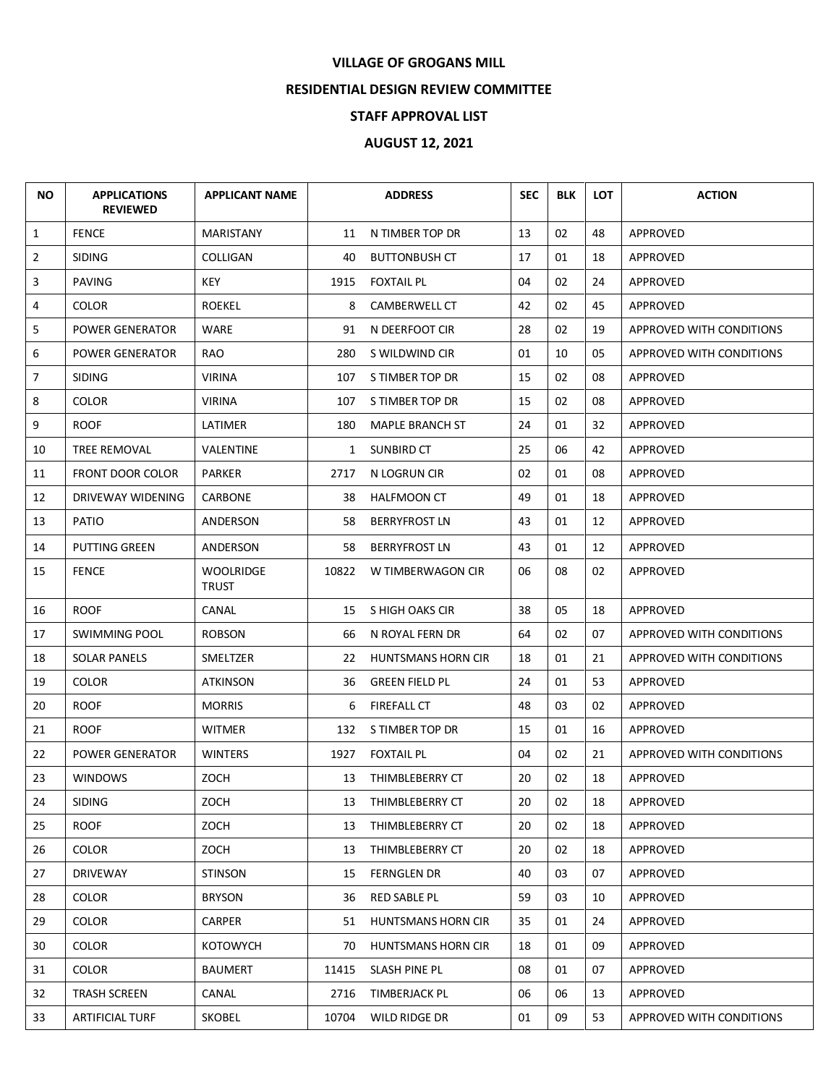## **VILLAGE OF GROGANS MILL**

## **RESIDENTIAL DESIGN REVIEW COMMITTEE**

## **STAFF APPROVAL LIST**

## **AUGUST 12, 2021**

| <b>NO</b>      | <b>APPLICATIONS</b><br><b>REVIEWED</b> | <b>APPLICANT NAME</b>     |              | <b>ADDRESS</b>            | <b>SEC</b> | <b>BLK</b> | <b>LOT</b> | <b>ACTION</b>            |
|----------------|----------------------------------------|---------------------------|--------------|---------------------------|------------|------------|------------|--------------------------|
| $\mathbf{1}$   | <b>FENCE</b>                           | <b>MARISTANY</b>          | 11           | N TIMBER TOP DR           | 13         | 02         | 48         | APPROVED                 |
| $\overline{2}$ | <b>SIDING</b>                          | <b>COLLIGAN</b>           | 40           | <b>BUTTONBUSH CT</b>      | 17         | 01         | 18         | APPROVED                 |
| 3              | <b>PAVING</b>                          | <b>KEY</b>                | 1915         | <b>FOXTAIL PL</b>         | 04         | 02         | 24         | APPROVED                 |
| 4              | <b>COLOR</b>                           | <b>ROEKEL</b>             | 8            | <b>CAMBERWELL CT</b>      | 42         | 02         | 45         | APPROVED                 |
| 5              | <b>POWER GENERATOR</b>                 | <b>WARE</b>               | 91           | N DEERFOOT CIR            | 28         | 02         | 19         | APPROVED WITH CONDITIONS |
| 6              | POWER GENERATOR                        | RAO                       | 280          | S WILDWIND CIR            | 01         | 10         | 05         | APPROVED WITH CONDITIONS |
| 7              | <b>SIDING</b>                          | <b>VIRINA</b>             | 107          | S TIMBER TOP DR           | 15         | 02         | 08         | APPROVED                 |
| 8              | <b>COLOR</b>                           | <b>VIRINA</b>             | 107          | S TIMBER TOP DR           | 15         | 02         | 08         | APPROVED                 |
| 9              | <b>ROOF</b>                            | LATIMER                   | 180          | <b>MAPLE BRANCH ST</b>    | 24         | 01         | 32         | APPROVED                 |
| 10             | TREE REMOVAL                           | <b>VALENTINE</b>          | $\mathbf{1}$ | SUNBIRD CT                | 25         | 06         | 42         | APPROVED                 |
| 11             | FRONT DOOR COLOR                       | <b>PARKER</b>             | 2717         | N LOGRUN CIR              | 02         | 01         | 08         | APPROVED                 |
| 12             | DRIVEWAY WIDENING                      | CARBONE                   | 38           | <b>HALFMOON CT</b>        | 49         | 01         | 18         | APPROVED                 |
| 13             | PATIO                                  | ANDERSON                  | 58           | <b>BERRYFROST LN</b>      | 43         | 01         | 12         | APPROVED                 |
| 14             | PUTTING GREEN                          | ANDERSON                  | 58           | <b>BERRYFROST LN</b>      | 43         | 01         | 12         | APPROVED                 |
| 15             | <b>FENCE</b>                           | <b>WOOLRIDGE</b><br>TRUST | 10822        | W TIMBERWAGON CIR         | 06         | 08         | 02         | APPROVED                 |
| 16             | <b>ROOF</b>                            | CANAL                     | 15           | S HIGH OAKS CIR           | 38         | 05         | 18         | APPROVED                 |
| 17             | <b>SWIMMING POOL</b>                   | <b>ROBSON</b>             | 66           | N ROYAL FERN DR           | 64         | 02         | 07         | APPROVED WITH CONDITIONS |
| 18             | <b>SOLAR PANELS</b>                    | SMELTZER                  | 22           | <b>HUNTSMANS HORN CIR</b> | 18         | 01         | 21         | APPROVED WITH CONDITIONS |
| 19             | <b>COLOR</b>                           | <b>ATKINSON</b>           | 36           | <b>GREEN FIELD PL</b>     | 24         | 01         | 53         | APPROVED                 |
| 20             | <b>ROOF</b>                            | <b>MORRIS</b>             | 6            | <b>FIREFALL CT</b>        | 48         | 03         | 02         | APPROVED                 |
| 21             | <b>ROOF</b>                            | <b>WITMER</b>             | 132          | S TIMBER TOP DR           | 15         | 01         | 16         | APPROVED                 |
| 22             | <b>POWER GENERATOR</b>                 | <b>WINTERS</b>            | 1927         | <b>FOXTAIL PL</b>         | 04         | 02         | 21         | APPROVED WITH CONDITIONS |
| 23             | <b>WINDOWS</b>                         | ZOCH                      | 13           | THIMBLEBERRY CT           | 20         | 02         | 18         | APPROVED                 |
| 24             | SIDING                                 | ZOCH                      | 13           | THIMBLEBERRY CT           | 20         | 02         | 18         | APPROVED                 |
| 25             | <b>ROOF</b>                            | ZOCH                      | 13           | THIMBLEBERRY CT           | 20         | 02         | 18         | APPROVED                 |
| 26             | <b>COLOR</b>                           | ZOCH                      | 13           | THIMBLEBERRY CT           | 20         | 02         | 18         | APPROVED                 |
| 27             | DRIVEWAY                               | <b>STINSON</b>            | 15           | <b>FERNGLEN DR</b>        | 40         | 03         | 07         | APPROVED                 |
| 28             | <b>COLOR</b>                           | <b>BRYSON</b>             | 36           | RED SABLE PL              | 59         | 03         | 10         | APPROVED                 |
| 29             | <b>COLOR</b>                           | <b>CARPER</b>             | 51           | HUNTSMANS HORN CIR        | 35         | 01         | 24         | APPROVED                 |
| 30             | <b>COLOR</b>                           | <b>KOTOWYCH</b>           | 70           | <b>HUNTSMANS HORN CIR</b> | 18         | 01         | 09         | APPROVED                 |
| 31             | <b>COLOR</b>                           | <b>BAUMERT</b>            | 11415        | SLASH PINE PL             | 08         | 01         | 07         | APPROVED                 |
| 32             | <b>TRASH SCREEN</b>                    | CANAL                     | 2716         | TIMBERJACK PL             | 06         | 06         | 13         | APPROVED                 |
| 33             | <b>ARTIFICIAL TURF</b>                 | <b>SKOBEL</b>             | 10704        | WILD RIDGE DR             | 01         | 09         | 53         | APPROVED WITH CONDITIONS |